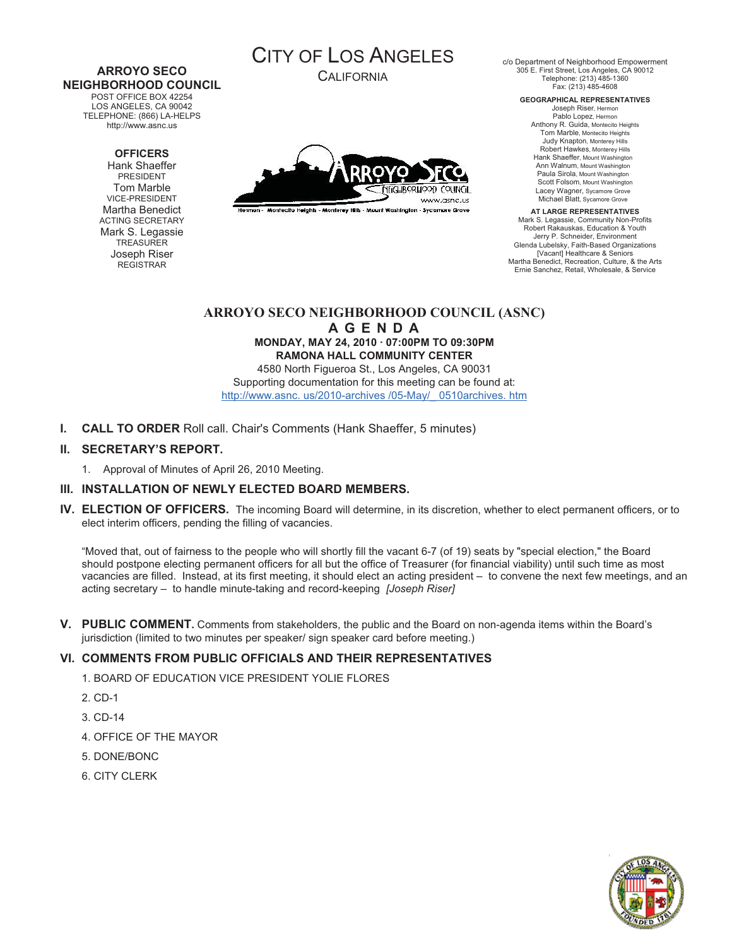#### **ARROYO SECO NEIGHBORHOOD COUNCIL**  POST OFFICE BOX 42254

LOS ANGELES, CA 90042 TELEPHONE: (866) LA-HELPS http://www.asnc.us

#### **OFFICERS**

Hank Shaeffer PRESIDENT Tom Marble VICE-PRESIDENT Martha Benedict ACTING SECRETARY Mark S. Legassie **TREASURER** Joseph Riser REGISTRAR



CALIFORNIA



Hermon - Montecito Heights - Monterey Hills - Mount Washington - Sycamore Grove

c/o Department of Neighborhood Empowerment 305 E. First Street, Los Angeles, CA 90012 Telephone: (213) 485-1360 Fax: (213) 485-4608

**GEOGRAPHICAL REPRESENTATIVES**  Joseph Riser, Hermon Pablo Lopez, Hermon

Anthony R. Guida, Montecito Heights Tom Marble, Montecito Heights Judy Knapton, Monterey Hills Robert Hawkes, Monterey Hills Hank Shaeffer, Mount Washington Ann Walnum, Mount Washington Paula Sirola, Mount Washington Scott Folsom, Mount Washington Lacey Wagner, Sycamore Grove Michael Blatt, Sycamore Grove

**AT LARGE REPRESENTATIVES**  Mark S. Legassie, Community Non-Profits Robert Rakauskas, Education & Youth Jerry P. Schneider, Environment Glenda Lubelsky, Faith-Based Organizations [Vacant] Healthcare & Seniors Martha Benedict, Recreation, Culture, & the Arts Ernie Sanchez, Retail, Wholesale, & Service

# **ARROYO SECO NEIGHBORHOOD COUNCIL (ASNC) A G E N D A**

**MONDAY, MAY 24, 2010 · 07:00PM TO 09:30PM RAMONA HALL COMMUNITY CENTER** 

4580 North Figueroa St., Los Angeles, CA 90031 Supporting documentation for this meeting can be found at: http://www.asnc. us/2010-archives /05-May/\_ 0510archives. htm

**I. CALL TO ORDER** Roll call. Chair's Comments (Hank Shaeffer, 5 minutes)

## **II. SECRETARY'S REPORT.**

1. Approval of Minutes of April 26, 2010 Meeting.

## **III. INSTALLATION OF NEWLY ELECTED BOARD MEMBERS.**

**IV. ELECTION OF OFFICERS.** The incoming Board will determine, in its discretion, whether to elect permanent officers, or to elect interim officers, pending the filling of vacancies.

"Moved that, out of fairness to the people who will shortly fill the vacant 6-7 (of 19) seats by "special election," the Board should postpone electing permanent officers for all but the office of Treasurer (for financial viability) until such time as most vacancies are filled. Instead, at its first meeting, it should elect an acting president – to convene the next few meetings, and an acting secretary – to handle minute-taking and record-keeping *[Joseph Riser]*

**V. PUBLIC COMMENT.** Comments from stakeholders, the public and the Board on non-agenda items within the Board's jurisdiction (limited to two minutes per speaker/ sign speaker card before meeting.)

## **VI. COMMENTS FROM PUBLIC OFFICIALS AND THEIR REPRESENTATIVES**

- 1. BOARD OF EDUCATION VICE PRESIDENT YOLIE FLORES
- 2. CD-1
- 3. CD-14
- 4. OFFICE OF THE MAYOR
- 5. DONE/BONC
- 6. CITY CLERK

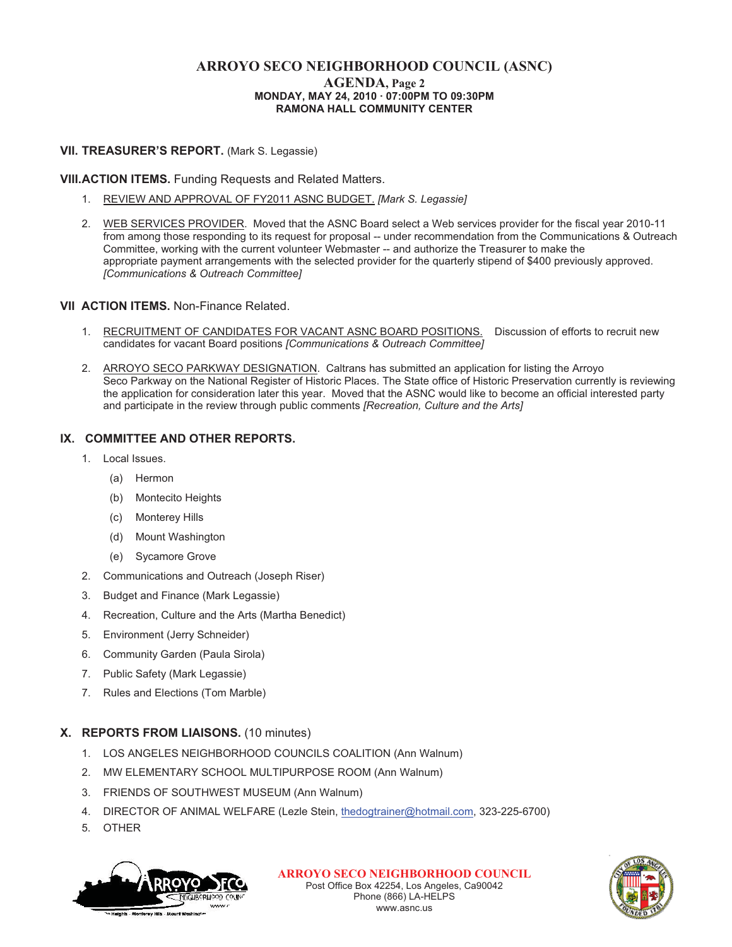# **ARROYO SECO NEIGHBORHOOD COUNCIL (ASNC) MONDAY, MAY 24, 2010 · 07:00PM TO 09:30PM RAMONA HALL COMMUNITY CENTER**

#### **VII. TREASURER'S REPORT.** (Mark S. Legassie)

#### **VIII.ACTION ITEMS.** Funding Requests and Related Matters.

- 1. REVIEW AND APPROVAL OF FY2011 ASNC BUDGET. *[Mark S. Legassie]*
- 2. WEB SERVICES PROVIDER. Moved that the ASNC Board select a Web services provider for the fiscal year 2010-11 from among those responding to its request for proposal -- under recommendation from the Communications & Outreach Committee, working with the current volunteer Webmaster -- and authorize the Treasurer to make the appropriate payment arrangements with the selected provider for the quarterly stipend of \$400 previously approved. *[Communications & Outreach Committee]*

#### **VII ACTION ITEMS.** Non-Finance Related.

- 1. RECRUITMENT OF CANDIDATES FOR VACANT ASNC BOARD POSITIONS. Discussion of efforts to recruit new candidates for vacant Board positions *[Communications & Outreach Committee]*
- 2. ARROYO SECO PARKWAY DESIGNATION. Caltrans has submitted an application for listing the Arroyo Seco Parkway on the National Register of Historic Places. The State office of Historic Preservation currently is reviewing the application for consideration later this year. Moved that the ASNC would like to become an official interested party and participate in the review through public comments *[Recreation, Culture and the Arts]*

#### **IX. COMMITTEE AND OTHER REPORTS.**

- 1. Local Issues.
	- (a) Hermon
	- (b) Montecito Heights
	- (c) Monterey Hills
	- (d) Mount Washington
	- (e) Sycamore Grove
- 2. Communications and Outreach (Joseph Riser)
- 3. Budget and Finance (Mark Legassie)
- 4. Recreation, Culture and the Arts (Martha Benedict)
- 5. Environment (Jerry Schneider)
- 6. Community Garden (Paula Sirola)
- 7. Public Safety (Mark Legassie)
- 7. Rules and Elections (Tom Marble)

## **X. REPORTS FROM LIAISONS.** (10 minutes)

- 1. LOS ANGELES NEIGHBORHOOD COUNCILS COALITION (Ann Walnum)
- 2. MW ELEMENTARY SCHOOL MULTIPURPOSE ROOM (Ann Walnum)
- 3. FRIENDS OF SOUTHWEST MUSEUM (Ann Walnum)
- 4. DIRECTOR OF ANIMAL WELFARE (Lezle Stein, thedogtrainer@hotmail.com, 323-225-6700)
- 5. OTHER